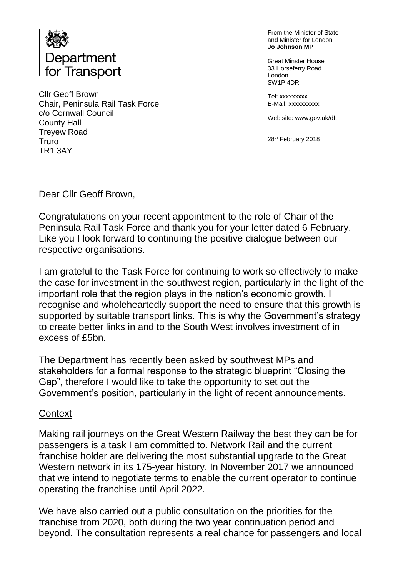

Cllr Geoff Brown Chair, Peninsula Rail Task Force c/o Cornwall Council County Hall Treyew Road Truro TR1 3AY

From the Minister of State and Minister for London **Jo Johnson MP**

Great Minster House 33 Horseferry Road London SW1P 4DR

Tel: xxxxxxxxx E-Mail: xxxxxxxxxx

Web site: www.gov.uk/dft

28<sup>th</sup> February 2018

Dear Cllr Geoff Brown,

Congratulations on your recent appointment to the role of Chair of the Peninsula Rail Task Force and thank you for your letter dated 6 February. Like you I look forward to continuing the positive dialogue between our respective organisations.

I am grateful to the Task Force for continuing to work so effectively to make the case for investment in the southwest region, particularly in the light of the important role that the region plays in the nation's economic growth. I recognise and wholeheartedly support the need to ensure that this growth is supported by suitable transport links. This is why the Government's strategy to create better links in and to the South West involves investment of in excess of £5bn.

The Department has recently been asked by southwest MPs and stakeholders for a formal response to the strategic blueprint "Closing the Gap", therefore I would like to take the opportunity to set out the Government's position, particularly in the light of recent announcements.

#### **Context**

Making rail journeys on the Great Western Railway the best they can be for passengers is a task I am committed to. Network Rail and the current franchise holder are delivering the most substantial upgrade to the Great Western network in its 175-year history. In November 2017 we announced that we intend to negotiate terms to enable the current operator to continue operating the franchise until April 2022.

We have also carried out a public consultation on the priorities for the franchise from 2020, both during the two year continuation period and beyond. The consultation represents a real chance for passengers and local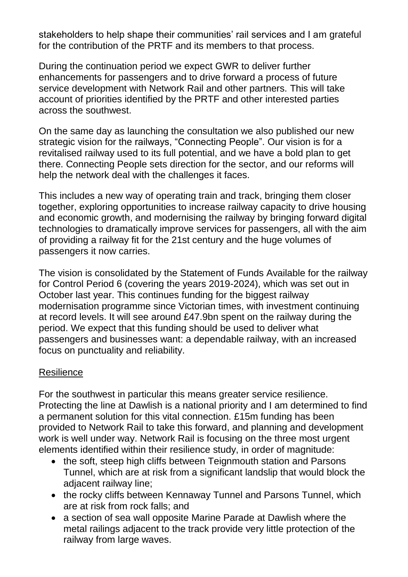stakeholders to help shape their communities' rail services and I am grateful for the contribution of the PRTF and its members to that process.

During the continuation period we expect GWR to deliver further enhancements for passengers and to drive forward a process of future service development with Network Rail and other partners. This will take account of priorities identified by the PRTF and other interested parties across the southwest.

On the same day as launching the consultation we also published our new strategic vision for the railways, "Connecting People". Our vision is for a revitalised railway used to its full potential, and we have a bold plan to get there. Connecting People sets direction for the sector, and our reforms will help the network deal with the challenges it faces.

This includes a new way of operating train and track, bringing them closer together, exploring opportunities to increase railway capacity to drive housing and economic growth, and modernising the railway by bringing forward digital technologies to dramatically improve services for passengers, all with the aim of providing a railway fit for the 21st century and the huge volumes of passengers it now carries.

The vision is consolidated by the Statement of Funds Available for the railway for Control Period 6 (covering the years 2019-2024), which was set out in October last year. This continues funding for the biggest railway modernisation programme since Victorian times, with investment continuing at record levels. It will see around £47.9bn spent on the railway during the period. We expect that this funding should be used to deliver what passengers and businesses want: a dependable railway, with an increased focus on punctuality and reliability.

## **Resilience**

For the southwest in particular this means greater service resilience. Protecting the line at Dawlish is a national priority and I am determined to find a permanent solution for this vital connection. £15m funding has been provided to Network Rail to take this forward, and planning and development work is well under way. Network Rail is focusing on the three most urgent elements identified within their resilience study, in order of magnitude:

- the soft, steep high cliffs between Teignmouth station and Parsons Tunnel, which are at risk from a significant landslip that would block the adjacent railway line;
- the rocky cliffs between Kennaway Tunnel and Parsons Tunnel, which are at risk from rock falls; and
- a section of sea wall opposite Marine Parade at Dawlish where the metal railings adjacent to the track provide very little protection of the railway from large waves.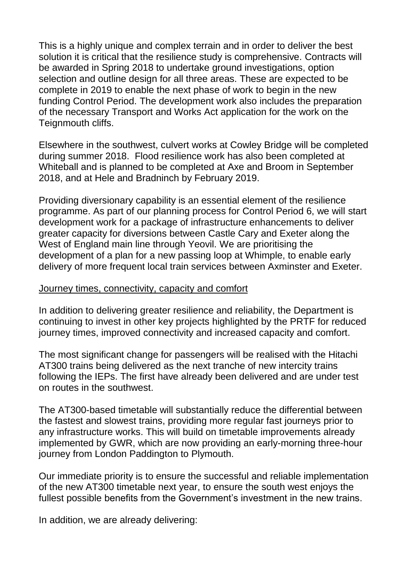This is a highly unique and complex terrain and in order to deliver the best solution it is critical that the resilience study is comprehensive. Contracts will be awarded in Spring 2018 to undertake ground investigations, option selection and outline design for all three areas. These are expected to be complete in 2019 to enable the next phase of work to begin in the new funding Control Period. The development work also includes the preparation of the necessary Transport and Works Act application for the work on the Teignmouth cliffs.

Elsewhere in the southwest, culvert works at Cowley Bridge will be completed during summer 2018. Flood resilience work has also been completed at Whiteball and is planned to be completed at Axe and Broom in September 2018, and at Hele and Bradninch by February 2019.

Providing diversionary capability is an essential element of the resilience programme. As part of our planning process for Control Period 6, we will start development work for a package of infrastructure enhancements to deliver greater capacity for diversions between Castle Cary and Exeter along the West of England main line through Yeovil. We are prioritising the development of a plan for a new passing loop at Whimple, to enable early delivery of more frequent local train services between Axminster and Exeter.

#### Journey times, connectivity, capacity and comfort

In addition to delivering greater resilience and reliability, the Department is continuing to invest in other key projects highlighted by the PRTF for reduced journey times, improved connectivity and increased capacity and comfort.

The most significant change for passengers will be realised with the Hitachi AT300 trains being delivered as the next tranche of new intercity trains following the IEPs. The first have already been delivered and are under test on routes in the southwest.

The AT300-based timetable will substantially reduce the differential between the fastest and slowest trains, providing more regular fast journeys prior to any infrastructure works. This will build on timetable improvements already implemented by GWR, which are now providing an early-morning three-hour journey from London Paddington to Plymouth.

Our immediate priority is to ensure the successful and reliable implementation of the new AT300 timetable next year, to ensure the south west enjoys the fullest possible benefits from the Government's investment in the new trains.

In addition, we are already delivering: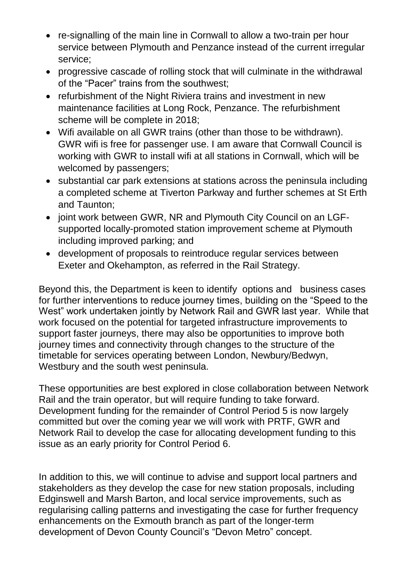- re-signalling of the main line in Cornwall to allow a two-train per hour service between Plymouth and Penzance instead of the current irregular service;
- progressive cascade of rolling stock that will culminate in the withdrawal of the "Pacer" trains from the southwest;
- refurbishment of the Night Riviera trains and investment in new maintenance facilities at Long Rock, Penzance. The refurbishment scheme will be complete in 2018;
- Wifi available on all GWR trains (other than those to be withdrawn). GWR wifi is free for passenger use. I am aware that Cornwall Council is working with GWR to install wifi at all stations in Cornwall, which will be welcomed by passengers;
- substantial car park extensions at stations across the peninsula including a completed scheme at Tiverton Parkway and further schemes at St Erth and Taunton;
- joint work between GWR, NR and Plymouth City Council on an LGFsupported locally-promoted station improvement scheme at Plymouth including improved parking; and
- development of proposals to reintroduce regular services between Exeter and Okehampton, as referred in the Rail Strategy.

Beyond this, the Department is keen to identify options and business cases for further interventions to reduce journey times, building on the "Speed to the West" work undertaken jointly by Network Rail and GWR last year. While that work focused on the potential for targeted infrastructure improvements to support faster journeys, there may also be opportunities to improve both journey times and connectivity through changes to the structure of the timetable for services operating between London, Newbury/Bedwyn, Westbury and the south west peninsula.

These opportunities are best explored in close collaboration between Network Rail and the train operator, but will require funding to take forward. Development funding for the remainder of Control Period 5 is now largely committed but over the coming year we will work with PRTF, GWR and Network Rail to develop the case for allocating development funding to this issue as an early priority for Control Period 6.

In addition to this, we will continue to advise and support local partners and stakeholders as they develop the case for new station proposals, including Edginswell and Marsh Barton, and local service improvements, such as regularising calling patterns and investigating the case for further frequency enhancements on the Exmouth branch as part of the longer-term development of Devon County Council's "Devon Metro" concept.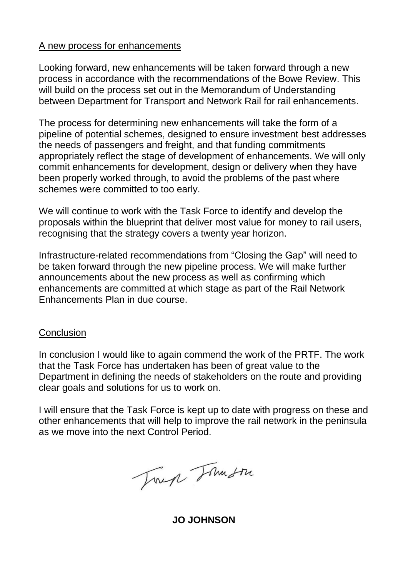#### A new process for enhancements

Looking forward, new enhancements will be taken forward through a new process in accordance with the recommendations of the Bowe Review. This will build on the process set out in the Memorandum of Understanding between Department for Transport and Network Rail for rail enhancements.

The process for determining new enhancements will take the form of a pipeline of potential schemes, designed to ensure investment best addresses the needs of passengers and freight, and that funding commitments appropriately reflect the stage of development of enhancements. We will only commit enhancements for development, design or delivery when they have been properly worked through, to avoid the problems of the past where schemes were committed to too early.

We will continue to work with the Task Force to identify and develop the proposals within the blueprint that deliver most value for money to rail users, recognising that the strategy covers a twenty year horizon.

Infrastructure-related recommendations from "Closing the Gap" will need to be taken forward through the new pipeline process. We will make further announcements about the new process as well as confirming which enhancements are committed at which stage as part of the Rail Network Enhancements Plan in due course.

#### **Conclusion**

In conclusion I would like to again commend the work of the PRTF. The work that the Task Force has undertaken has been of great value to the Department in defining the needs of stakeholders on the route and providing clear goals and solutions for us to work on.

I will ensure that the Task Force is kept up to date with progress on these and other enhancements that will help to improve the rail network in the peninsula as we move into the next Control Period.

Trep Tomorre

**JO JOHNSON**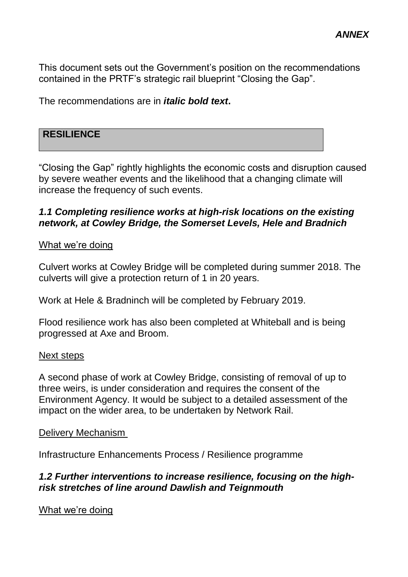This document sets out the Government's position on the recommendations contained in the PRTF's strategic rail blueprint "Closing the Gap".

The recommendations are in *italic bold text***.**

## **RESILIENCE**

"Closing the Gap" rightly highlights the economic costs and disruption caused by severe weather events and the likelihood that a changing climate will increase the frequency of such events.

## *1.1 Completing resilience works at high-risk locations on the existing network, at Cowley Bridge, the Somerset Levels, Hele and Bradnich*

#### What we're doing

Culvert works at Cowley Bridge will be completed during summer 2018. The culverts will give a protection return of 1 in 20 years.

Work at Hele & Bradninch will be completed by February 2019.

Flood resilience work has also been completed at Whiteball and is being progressed at Axe and Broom.

#### Next steps

A second phase of work at Cowley Bridge, consisting of removal of up to three weirs, is under consideration and requires the consent of the Environment Agency. It would be subject to a detailed assessment of the impact on the wider area, to be undertaken by Network Rail.

#### Delivery Mechanism

Infrastructure Enhancements Process / Resilience programme

## *1.2 Further interventions to increase resilience, focusing on the highrisk stretches of line around Dawlish and Teignmouth*

What we're doing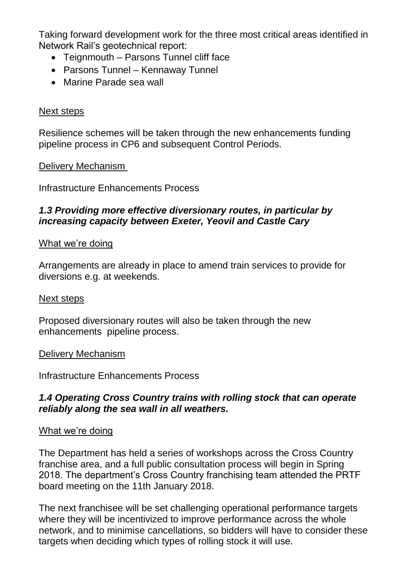Taking forward development work for the three most critical areas identified in Network Rail's geotechnical report:

- Teignmouth Parsons Tunnel cliff face
- Parsons Tunnel Kennaway Tunnel
- Marine Parade sea wall

## Next steps

Resilience schemes will be taken through the new enhancements funding pipeline process in CP6 and subsequent Control Periods.

## Delivery Mechanism

Infrastructure Enhancements Process

## *1.3 Providing more effective diversionary routes, in particular by increasing capacity between Exeter, Yeovil and Castle Cary*

## What we're doing

Arrangements are already in place to amend train services to provide for diversions e.g. at weekends.

#### Next steps

Proposed diversionary routes will also be taken through the new enhancements pipeline process.

## Delivery Mechanism

Infrastructure Enhancements Process

## *1.4 Operating Cross Country trains with rolling stock that can operate reliably along the sea wall in all weathers.*

## What we're doing

The Department has held a series of workshops across the Cross Country franchise area, and a full public consultation process will begin in Spring 2018. The department's Cross Country franchising team attended the PRTF board meeting on the 11th January 2018.

The next franchisee will be set challenging operational performance targets where they will be incentivized to improve performance across the whole network, and to minimise cancellations, so bidders will have to consider these targets when deciding which types of rolling stock it will use.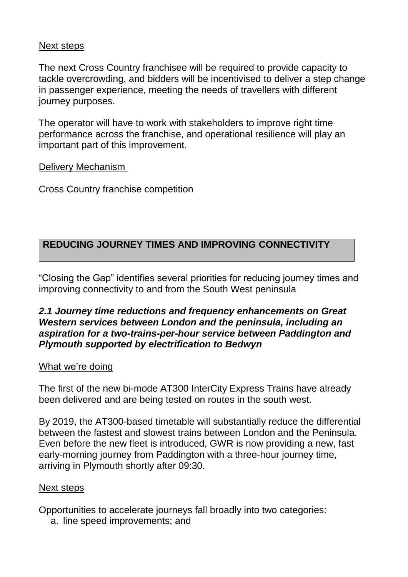#### Next steps

The next Cross Country franchisee will be required to provide capacity to tackle overcrowding, and bidders will be incentivised to deliver a step change in passenger experience, meeting the needs of travellers with different journey purposes.

The operator will have to work with stakeholders to improve right time performance across the franchise, and operational resilience will play an important part of this improvement.

**Delivery Mechanism** 

Cross Country franchise competition

# **REDUCING JOURNEY TIMES AND IMPROVING CONNECTIVITY**

"Closing the Gap" identifies several priorities for reducing journey times and improving connectivity to and from the South West peninsula

## *2.1 Journey time reductions and frequency enhancements on Great Western services between London and the peninsula, including an aspiration for a two-trains-per-hour service between Paddington and Plymouth supported by electrification to Bedwyn*

## What we're doing

The first of the new bi-mode AT300 InterCity Express Trains have already been delivered and are being tested on routes in the south west.

By 2019, the AT300-based timetable will substantially reduce the differential between the fastest and slowest trains between London and the Peninsula. Even before the new fleet is introduced, GWR is now providing a new, fast early-morning journey from Paddington with a three-hour journey time, arriving in Plymouth shortly after 09:30.

## Next steps

Opportunities to accelerate journeys fall broadly into two categories:

a. line speed improvements; and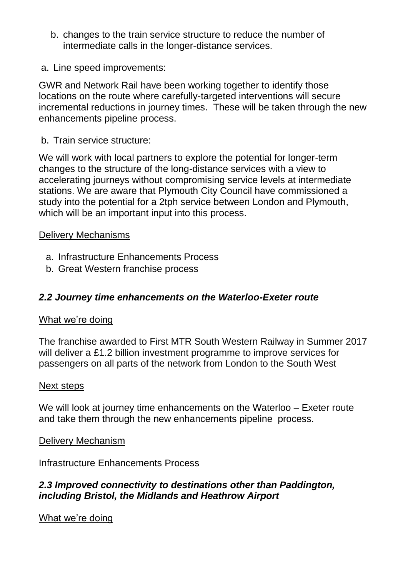- b. changes to the train service structure to reduce the number of intermediate calls in the longer-distance services.
- a. Line speed improvements:

GWR and Network Rail have been working together to identify those locations on the route where carefully-targeted interventions will secure incremental reductions in journey times. These will be taken through the new enhancements pipeline process.

b. Train service structure:

We will work with local partners to explore the potential for longer-term changes to the structure of the long-distance services with a view to accelerating journeys without compromising service levels at intermediate stations. We are aware that Plymouth City Council have commissioned a study into the potential for a 2tph service between London and Plymouth, which will be an important input into this process.

#### Delivery Mechanisms

- a. Infrastructure Enhancements Process
- b. Great Western franchise process

# *2.2 Journey time enhancements on the Waterloo-Exeter route*

## What we're doing

The franchise awarded to First MTR South Western Railway in Summer 2017 will deliver a £1.2 billion investment programme to improve services for passengers on all parts of the network from London to the South West

#### Next steps

We will look at journey time enhancements on the Waterloo – Exeter route and take them through the new enhancements pipeline process.

## Delivery Mechanism

Infrastructure Enhancements Process

## *2.3 Improved connectivity to destinations other than Paddington, including Bristol, the Midlands and Heathrow Airport*

What we're doing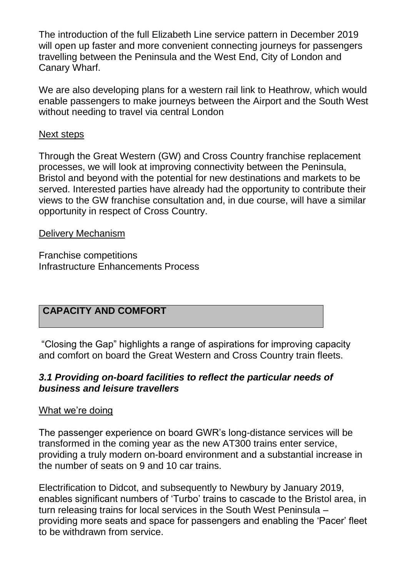The introduction of the full Elizabeth Line service pattern in December 2019 will open up faster and more convenient connecting journeys for passengers travelling between the Peninsula and the West End, City of London and Canary Wharf.

We are also developing plans for a western rail link to Heathrow, which would enable passengers to make journeys between the Airport and the South West without needing to travel via central London

## Next steps

Through the Great Western (GW) and Cross Country franchise replacement processes, we will look at improving connectivity between the Peninsula, Bristol and beyond with the potential for new destinations and markets to be served. Interested parties have already had the opportunity to contribute their views to the GW franchise consultation and, in due course, will have a similar opportunity in respect of Cross Country.

## Delivery Mechanism

Franchise competitions Infrastructure Enhancements Process

# **CAPACITY AND COMFORT**

"Closing the Gap" highlights a range of aspirations for improving capacity and comfort on board the Great Western and Cross Country train fleets.

## *3.1 Providing on-board facilities to reflect the particular needs of business and leisure travellers*

## What we're doing

The passenger experience on board GWR's long-distance services will be transformed in the coming year as the new AT300 trains enter service, providing a truly modern on-board environment and a substantial increase in the number of seats on 9 and 10 car trains.

Electrification to Didcot, and subsequently to Newbury by January 2019, enables significant numbers of 'Turbo' trains to cascade to the Bristol area, in turn releasing trains for local services in the South West Peninsula – providing more seats and space for passengers and enabling the 'Pacer' fleet to be withdrawn from service.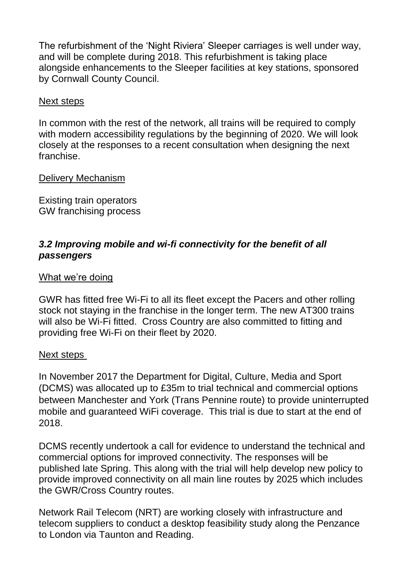The refurbishment of the 'Night Riviera' Sleeper carriages is well under way, and will be complete during 2018. This refurbishment is taking place alongside enhancements to the Sleeper facilities at key stations, sponsored by Cornwall County Council.

#### Next steps

In common with the rest of the network, all trains will be required to comply with modern accessibility regulations by the beginning of 2020. We will look closely at the responses to a recent consultation when designing the next franchise.

## Delivery Mechanism

Existing train operators GW franchising process

# *3.2 Improving mobile and wi-fi connectivity for the benefit of all passengers*

## What we're doing

GWR has fitted free Wi-Fi to all its fleet except the Pacers and other rolling stock not staying in the franchise in the longer term. The new AT300 trains will also be Wi-Fi fitted. Cross Country are also committed to fitting and providing free Wi-Fi on their fleet by 2020.

#### Next steps

In November 2017 the Department for Digital, Culture, Media and Sport (DCMS) was allocated up to £35m to trial technical and commercial options between Manchester and York (Trans Pennine route) to provide uninterrupted mobile and guaranteed WiFi coverage. This trial is due to start at the end of 2018.

DCMS recently undertook a call for evidence to understand the technical and commercial options for improved connectivity. The responses will be published late Spring. This along with the trial will help develop new policy to provide improved connectivity on all main line routes by 2025 which includes the GWR/Cross Country routes.

Network Rail Telecom (NRT) are working closely with infrastructure and telecom suppliers to conduct a desktop feasibility study along the Penzance to London via Taunton and Reading.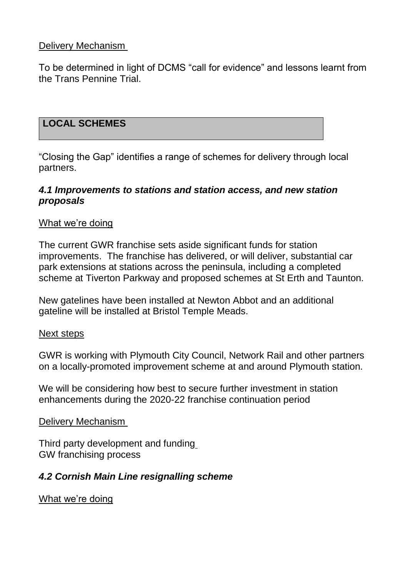## Delivery Mechanism

To be determined in light of DCMS "call for evidence" and lessons learnt from the Trans Pennine Trial.

## **LOCAL SCHEMES**

"Closing the Gap" identifies a range of schemes for delivery through local partners.

#### *4.1 Improvements to stations and station access, and new station proposals*

#### What we're doing

The current GWR franchise sets aside significant funds for station improvements. The franchise has delivered, or will deliver, substantial car park extensions at stations across the peninsula, including a completed scheme at Tiverton Parkway and proposed schemes at St Erth and Taunton.

New gatelines have been installed at Newton Abbot and an additional gateline will be installed at Bristol Temple Meads.

#### Next steps

GWR is working with Plymouth City Council, Network Rail and other partners on a locally-promoted improvement scheme at and around Plymouth station.

We will be considering how best to secure further investment in station enhancements during the 2020-22 franchise continuation period

#### Delivery Mechanism

Third party development and funding GW franchising process

## *4.2 Cornish Main Line resignalling scheme*

What we're doing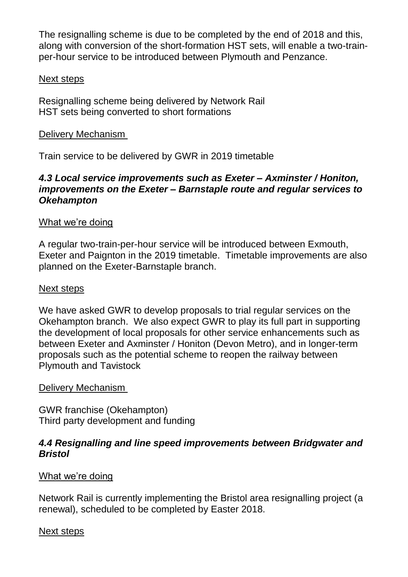The resignalling scheme is due to be completed by the end of 2018 and this, along with conversion of the short-formation HST sets, will enable a two-trainper-hour service to be introduced between Plymouth and Penzance.

## Next steps

Resignalling scheme being delivered by Network Rail HST sets being converted to short formations

## Delivery Mechanism

Train service to be delivered by GWR in 2019 timetable

## *4.3 Local service improvements such as Exeter – Axminster / Honiton, improvements on the Exeter – Barnstaple route and regular services to Okehampton*

## What we're doing

A regular two-train-per-hour service will be introduced between Exmouth, Exeter and Paignton in the 2019 timetable. Timetable improvements are also planned on the Exeter-Barnstaple branch.

#### Next steps

We have asked GWR to develop proposals to trial regular services on the Okehampton branch. We also expect GWR to play its full part in supporting the development of local proposals for other service enhancements such as between Exeter and Axminster / Honiton (Devon Metro), and in longer-term proposals such as the potential scheme to reopen the railway between Plymouth and Tavistock

#### Delivery Mechanism

GWR franchise (Okehampton) Third party development and funding

## *4.4 Resignalling and line speed improvements between Bridgwater and Bristol*

## What we're doing

Network Rail is currently implementing the Bristol area resignalling project (a renewal), scheduled to be completed by Easter 2018.

## Next steps